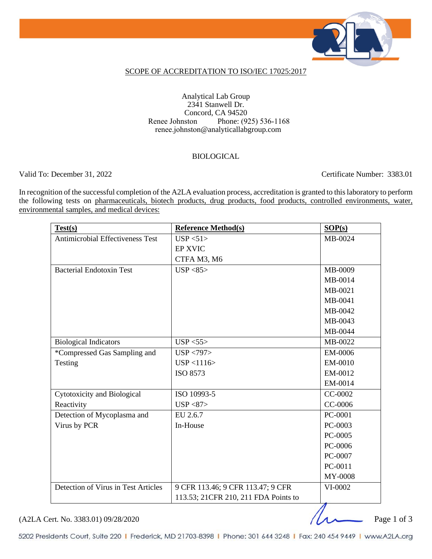

### SCOPE OF ACCREDITATION TO ISO/IEC 17025:2017

Analytical Lab Group 2341 Stanwell Dr. Concord, CA 94520 Renee Johnston Phone: (925) 536-1168 renee.johnston@analyticallabgroup.com

### BIOLOGICAL

Valid To: December 31, 2022 Certificate Number: 3383.01

In recognition of the successful completion of the A2LA evaluation process, accreditation is granted to this laboratory to perform the following tests on pharmaceuticals, biotech products, drug products, food products, controlled environments, water, environmental samples, and medical devices:

| Test(s)                                 | <b>Reference Method(s)</b>           | SOP(s)  |
|-----------------------------------------|--------------------------------------|---------|
| <b>Antimicrobial Effectiveness Test</b> | USP < 51                             | MB-0024 |
|                                         | <b>EP XVIC</b>                       |         |
|                                         | CTFA M3, M6                          |         |
| <b>Bacterial Endotoxin Test</b>         | USP < 85                             | MB-0009 |
|                                         |                                      | MB-0014 |
|                                         |                                      | MB-0021 |
|                                         |                                      | MB-0041 |
|                                         |                                      | MB-0042 |
|                                         |                                      | MB-0043 |
|                                         |                                      | MB-0044 |
| <b>Biological Indicators</b>            | USP < 55                             | MB-0022 |
| *Compressed Gas Sampling and            | USP < 797                            | EM-0006 |
| Testing                                 | USP < 1116                           | EM-0010 |
|                                         | <b>ISO 8573</b>                      | EM-0012 |
|                                         |                                      | EM-0014 |
| Cytotoxicity and Biological             | ISO 10993-5                          | CC-0002 |
| Reactivity                              | USP < 87                             | CC-0006 |
| Detection of Mycoplasma and             | EU 2.6.7                             | PC-0001 |
| Virus by PCR                            | In-House                             | PC-0003 |
|                                         |                                      | PC-0005 |
|                                         |                                      | PC-0006 |
|                                         |                                      | PC-0007 |
|                                         |                                      | PC-0011 |
|                                         |                                      | MY-0008 |
| Detection of Virus in Test Articles     | 9 CFR 113.46; 9 CFR 113.47; 9 CFR    | VI-0002 |
|                                         | 113.53; 21CFR 210, 211 FDA Points to | л       |

(A2LA Cert. No. 3383.01) 09/28/2020

5202 Presidents Court, Suite 220 | Frederick, MD 21703-8398 | Phone: 301 644 3248 | Fax: 240 454 9449 | www.A2LA.org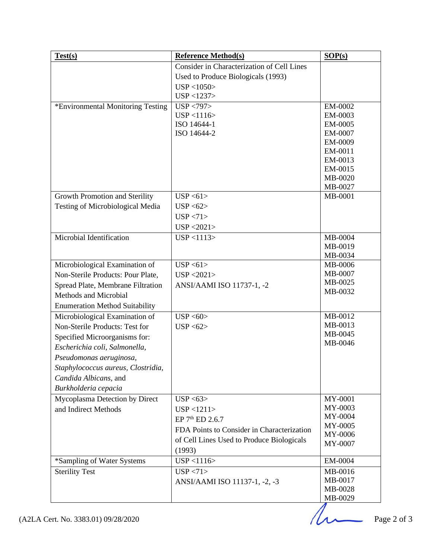| Test(s)                               | <b>Reference Method(s)</b>                 | SOP(s)             |
|---------------------------------------|--------------------------------------------|--------------------|
|                                       | Consider in Characterization of Cell Lines |                    |
|                                       | Used to Produce Biologicals (1993)         |                    |
|                                       | USP < 1050                                 |                    |
|                                       | USP < 1237                                 |                    |
| *Environmental Monitoring Testing     | USP < 797                                  | EM-0002            |
|                                       | USP < 1116                                 | EM-0003            |
|                                       | ISO 14644-1                                | EM-0005            |
|                                       | ISO 14644-2                                | EM-0007            |
|                                       |                                            | EM-0009            |
|                                       |                                            | EM-0011<br>EM-0013 |
|                                       |                                            | EM-0015            |
|                                       |                                            | MB-0020            |
|                                       |                                            | MB-0027            |
| Growth Promotion and Sterility        | USP < 61                                   | MB-0001            |
| Testing of Microbiological Media      | USP < 62                                   |                    |
|                                       | USP < 71                                   |                    |
|                                       | USP < 2021                                 |                    |
| Microbial Identification              | USP < 1113                                 | MB-0004            |
|                                       |                                            | MB-0019            |
|                                       |                                            | MB-0034            |
| Microbiological Examination of        | USP < 61                                   | MB-0006            |
| Non-Sterile Products: Pour Plate,     | USP < 2021                                 | MB-0007            |
| Spread Plate, Membrane Filtration     | ANSI/AAMI ISO 11737-1, -2                  | MB-0025            |
| Methods and Microbial                 |                                            | MB-0032            |
| <b>Enumeration Method Suitability</b> |                                            |                    |
| Microbiological Examination of        | USP < 60                                   | MB-0012            |
| Non-Sterile Products: Test for        | USP < 62                                   | MB-0013            |
| Specified Microorganisms for:         |                                            | MB-0045            |
| Escherichia coli, Salmonella,         |                                            | MB-0046            |
| Pseudomonas aeruginosa,               |                                            |                    |
| Staphylococcus aureus, Clostridia,    |                                            |                    |
| Candida Albicans, and                 |                                            |                    |
| Burkholderia cepacia                  |                                            |                    |
| Mycoplasma Detection by Direct        | USP < 63                                   | MY-0001            |
| and Indirect Methods                  | USP < 1211>                                | MY-0003            |
|                                       |                                            | MY-0004            |
|                                       | EP 7 <sup>th</sup> ED 2.6.7                | MY-0005            |
|                                       | FDA Points to Consider in Characterization | MY-0006            |
|                                       | of Cell Lines Used to Produce Biologicals  | MY-0007            |
|                                       | (1993)                                     |                    |
| *Sampling of Water Systems            | USP < 1116                                 | EM-0004            |
| <b>Sterility Test</b>                 | USP < 71                                   | MB-0016            |
|                                       | ANSI/AAMI ISO 11137-1, -2, -3              | MB-0017<br>MB-0028 |
|                                       |                                            | MB-0029            |
|                                       |                                            |                    |

 $MB-0029$ <br>Page 2 of 3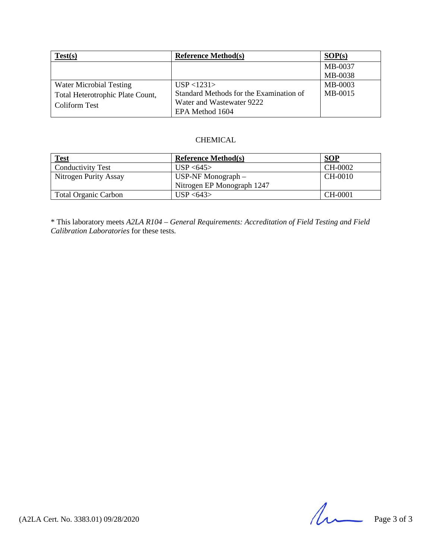| Test(s)                          | <b>Reference Method(s)</b>              | SOP(s)  |
|----------------------------------|-----------------------------------------|---------|
|                                  |                                         | MB-0037 |
|                                  |                                         | MB-0038 |
| <b>Water Microbial Testing</b>   | USP < 1231                              | MB-0003 |
| Total Heterotrophic Plate Count, | Standard Methods for the Examination of | MB-0015 |
| Coliform Test                    | Water and Wastewater 9222               |         |
|                                  | EPA Method 1604                         |         |

### CHEMICAL

| <b>Test</b>                 | <b>Reference Method(s)</b> | <b>SOP</b> |
|-----------------------------|----------------------------|------------|
| <b>Conductivity Test</b>    | USP < 645                  | CH-0002    |
| Nitrogen Purity Assay       | $USP-NF$ Monograph $-$     | CH-0010    |
|                             | Nitrogen EP Monograph 1247 |            |
| <b>Total Organic Carbon</b> | USP < 643                  | CH-0001    |

\* This laboratory meets *A2LA R104 – General Requirements: Accreditation of Field Testing and Field Calibration Laboratories* for these tests.

 $(42LA$  Cert. No. 3383.01) 09/28/2020